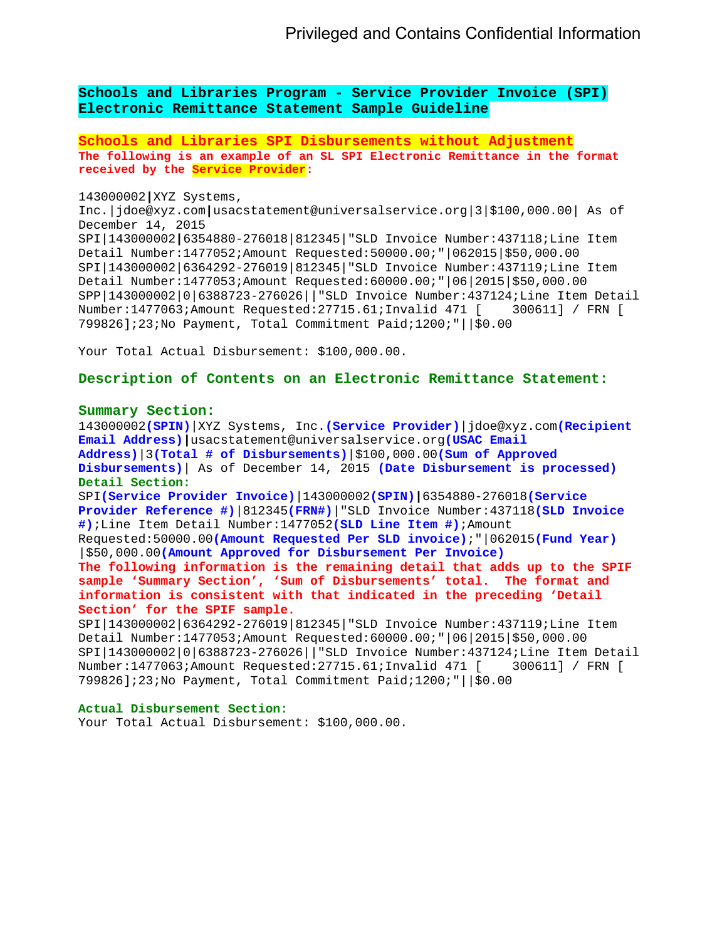**Schools and Libraries Program - Service Provider Invoice (SPI) Electronic Remittance Statement Sample Guideline** 

**Schools and Libraries SPI Disbursements without Adjustment The following is an example of an SL SPI Electronic Remittance in the format received by the Service Provider:** 

143000002**|**XYZ Systems,

Inc.|jdoe@xyz.com**|**usacstatement@universalservice.org|3|\$100,000.00| As of December 14, 2015 SPI|143000002**|**6354880-276018|812345|"SLD Invoice Number:437118;Line Item Detail Number:1477052;Amount Requested:50000.00;"|062015|\$50,000.00 SPI|143000002|6364292-276019|812345|"SLD Invoice Number:437119;Line Item Detail Number:1477053;Amount Requested:60000.00;"|06|2015|\$50,000.00 SPP|143000002|0|6388723-276026||"SLD Invoice Number:437124;Line Item Detail<br>Number:1477063;Amount Requested:27715.61;Invalid 471 [ 300611] / FRN [ Number:1477063;Amount Requested:27715.61;Invalid 471 [ 799826];23;No Payment, Total Commitment Paid;1200;"||\$0.00

Your Total Actual Disbursement: \$100,000.00.

# **Description of Contents on an Electronic Remittance Statement:**

# **Summary Section:**

143000002**(SPIN)**|XYZ Systems, Inc.**(Service Provider)**|jdoe@xyz.com**(Recipient Email Address)|**usacstatement@universalservice.org**(USAC Email Address)**|3**(Total # of Disbursements)**|\$100,000.00**(Sum of Approved Disbursements)**| As of December 14, 2015 **(Date Disbursement is processed) Detail Section:**  SPI**(Service Provider Invoice)**|143000002**(SPIN)|**6354880-276018**(Service Provider Reference #)**|812345**(FRN#)**|"SLD Invoice Number:437118**(SLD Invoice #)**;Line Item Detail Number:1477052**(SLD Line Item #)**;Amount Requested:50000.00**(Amount Requested Per SLD invoice)**;"|062015**(Fund Year)** |\$50,000.00**(Amount Approved for Disbursement Per Invoice) The following information is the remaining detail that adds up to the SPIF sample 'Summary Section', 'Sum of Disbursements' total. The format and information is consistent with that indicated in the preceding 'Detail Section' for the SPIF sample.**  SPI|143000002|6364292-276019|812345|"SLD Invoice Number:437119;Line Item

Detail Number:1477053;Amount Requested:60000.00;"|06|2015|\$50,000.00 SPI|143000002|0|6388723-276026||"SLD Invoice Number:437124;Line Item Detail Number:1477063;Amount Requested:27715.61;Invalid 471 [ 300611] / FRN [ 799826];23;No Payment, Total Commitment Paid;1200;"||\$0.00

#### **Actual Disbursement Section:**

Your Total Actual Disbursement: \$100,000.00.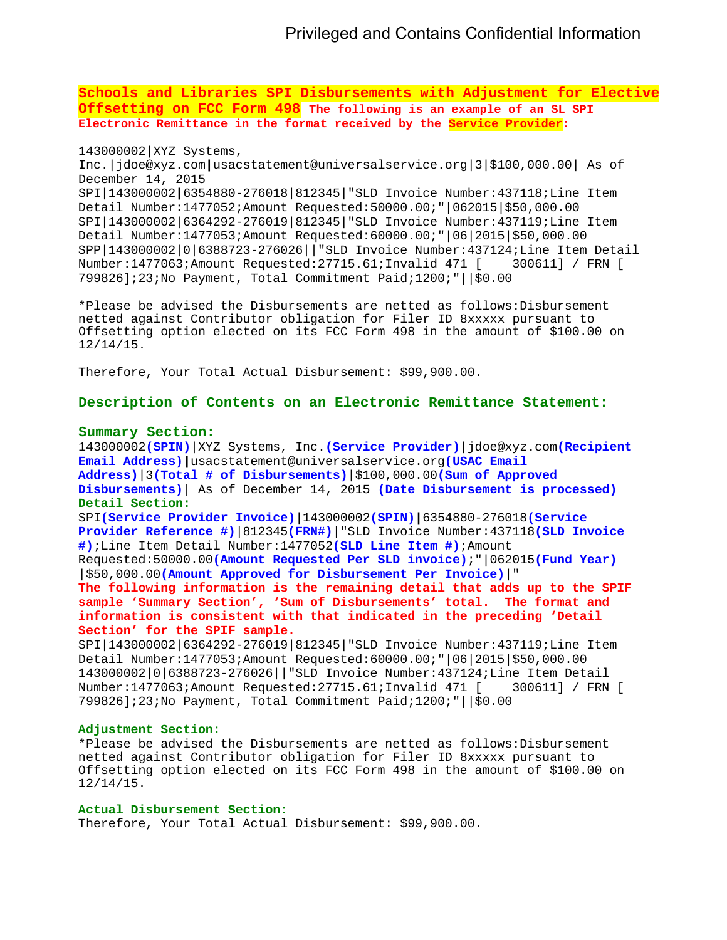**Schools and Libraries SPI Disbursements with Adjustment for Elective Offsetting on FCC Form 498 The following is an example of an SL SPI Electronic Remittance in the format received by the Service Provider:**

## 143000002**|**XYZ Systems,

Inc.|jdoe@xyz.com**|**usacstatement@universalservice.org|3|\$100,000.00| As of December 14, 2015 SPI|143000002**|**6354880-276018|812345|"SLD Invoice Number:437118;Line Item Detail Number:1477052;Amount Requested:50000.00;"|062015|\$50,000.00 SPI|143000002|6364292-276019|812345|"SLD Invoice Number:437119;Line Item Detail Number:1477053;Amount Requested:60000.00;"|06|2015|\$50,000.00  $SPP|143000002|0|6388723-276026||"SLD Invoice Number:437124:Line Item Detail Number:1477063:Amount Requested:27715.61:Invalid 471 [ 300611] / FRN [$ Number:1477063;Amount Requested:27715.61;Invalid 471 [ 799826];23;No Payment, Total Commitment Paid;1200;"||\$0.00

\*Please be advised the Disbursements are netted as follows:Disbursement netted against Contributor obligation for Filer ID 8xxxxx pursuant to Offsetting option elected on its FCC Form 498 in the amount of \$100.00 on 12/14/15.

Therefore, Your Total Actual Disbursement: \$99,900.00.

**Description of Contents on an Electronic Remittance Statement:** 

### **Summary Section:**

143000002**(SPIN)**|XYZ Systems, Inc.**(Service Provider)**|jdoe@xyz.com**(Recipient Email Address)|**usacstatement@universalservice.org**(USAC Email Address)**|3**(Total # of Disbursements)**|\$100,000.00**(Sum of Approved Disbursements)**| As of December 14, 2015 **(Date Disbursement is processed) Detail Section:**  SPI**(Service Provider Invoice)**|143000002**(SPIN)|**6354880-276018**(Service Provider Reference #)**|812345**(FRN#)**|"SLD Invoice Number:437118**(SLD Invoice #)**;Line Item Detail Number:1477052**(SLD Line Item #)**;Amount Requested:50000.00**(Amount Requested Per SLD invoice)**;"|062015**(Fund Year)** |\$50,000.00**(Amount Approved for Disbursement Per Invoice)**|" **The following information is the remaining detail that adds up to the SPIF sample 'Summary Section', 'Sum of Disbursements' total. The format and information is consistent with that indicated in the preceding 'Detail Section' for the SPIF sample.**  SPI|143000002|6364292-276019|812345|"SLD Invoice Number:437119;Line Item

Detail Number:1477053;Amount Requested:60000.00;"|06|2015|\$50,000.00 143000002|0|6388723-276026||"SLD Invoice Number:437124;Line Item Detail Number:1477063;Amount Requested:27715.61;Invalid 471 [ 799826];23;No Payment, Total Commitment Paid;1200;"||\$0.00

## **Adjustment Section:**

\*Please be advised the Disbursements are netted as follows:Disbursement netted against Contributor obligation for Filer ID 8xxxxx pursuant to Offsetting option elected on its FCC Form 498 in the amount of \$100.00 on 12/14/15.

# **Actual Disbursement Section:**

Therefore, Your Total Actual Disbursement: \$99,900.00.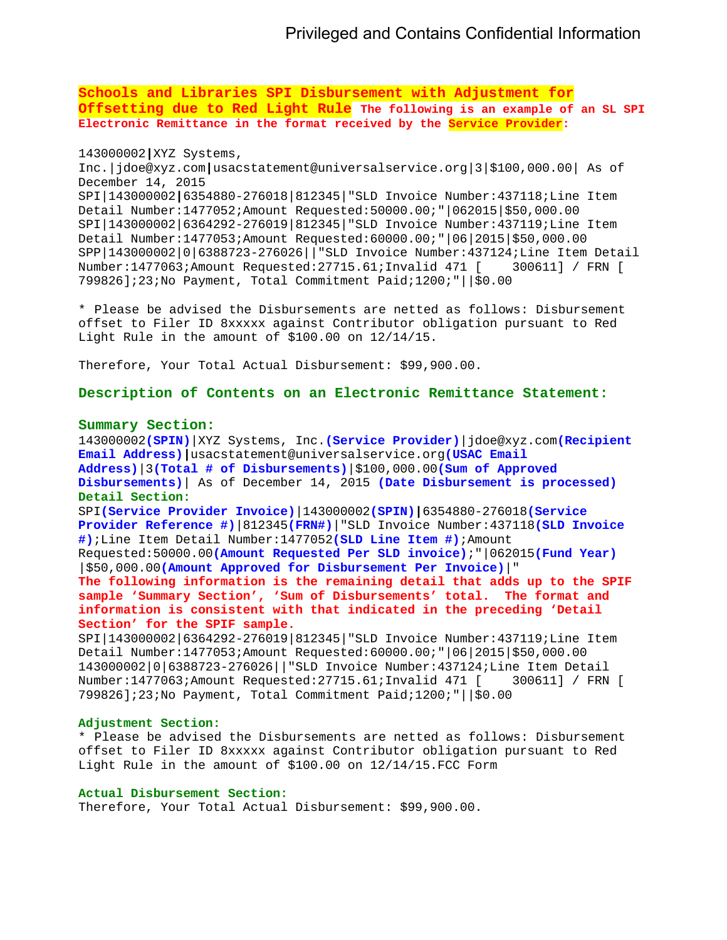**Schools and Libraries SPI Disbursement with Adjustment for Offsetting due to Red Light Rule The following is an example of an SL SPI Electronic Remittance in the format received by the Service Provider:** 

# 143000002**|**XYZ Systems,

Inc.|jdoe@xyz.com**|**usacstatement@universalservice.org|3|\$100,000.00| As of December 14, 2015 SPI|143000002**|**6354880-276018|812345|"SLD Invoice Number:437118;Line Item Detail Number:1477052;Amount Requested:50000.00;"|062015|\$50,000.00 SPI|143000002|6364292-276019|812345|"SLD Invoice Number:437119;Line Item Detail Number:1477053;Amount Requested:60000.00;"|06|2015|\$50,000.00 SPP|143000002|0|6388723-276026||"SLD Invoice Number:437124;Line Item Detail Number:1477063;Amount Requested:27715.61;Invalid 471 [ 300611] / FRN [ 799826];23;No Payment, Total Commitment Paid;1200;"||\$0.00

\* Please be advised the Disbursements are netted as follows: Disbursement offset to Filer ID 8xxxxx against Contributor obligation pursuant to Red Light Rule in the amount of \$100.00 on 12/14/15.

Therefore, Your Total Actual Disbursement: \$99,900.00.

**Description of Contents on an Electronic Remittance Statement:** 

#### **Summary Section:**

143000002**(SPIN)**|XYZ Systems, Inc.**(Service Provider)**|jdoe@xyz.com**(Recipient Email Address)|**usacstatement@universalservice.org**(USAC Email Address)**|3**(Total # of Disbursements)**|\$100,000.00**(Sum of Approved Disbursements)**| As of December 14, 2015 **(Date Disbursement is processed) Detail Section:**  SPI**(Service Provider Invoice)**|143000002**(SPIN)|**6354880-276018**(Service Provider Reference #)**|812345**(FRN#)**|"SLD Invoice Number:437118**(SLD Invoice #)**;Line Item Detail Number:1477052**(SLD Line Item #)**;Amount Requested:50000.00**(Amount Requested Per SLD invoice)**;"|062015**(Fund Year)** |\$50,000.00**(Amount Approved for Disbursement Per Invoice)**|" **The following information is the remaining detail that adds up to the SPIF sample 'Summary Section', 'Sum of Disbursements' total. The format and information is consistent with that indicated in the preceding 'Detail Section' for the SPIF sample.**  SPI|143000002|6364292-276019|812345|"SLD Invoice Number:437119;Line Item

Detail Number:1477053;Amount Requested:60000.00;"|06|2015|\$50,000.00 143000002|0|6388723-276026||"SLD Invoice Number:437124;Line Item Detail Number:1477063;Amount Requested:27715.61;Invalid 471 [ 300611] / FRN [ 799826];23;No Payment, Total Commitment Paid;1200;"||\$0.00

### **Adjustment Section:**

\* Please be advised the Disbursements are netted as follows: Disbursement offset to Filer ID 8xxxxx against Contributor obligation pursuant to Red Light Rule in the amount of \$100.00 on 12/14/15.FCC Form

### **Actual Disbursement Section:**

Therefore, Your Total Actual Disbursement: \$99,900.00.